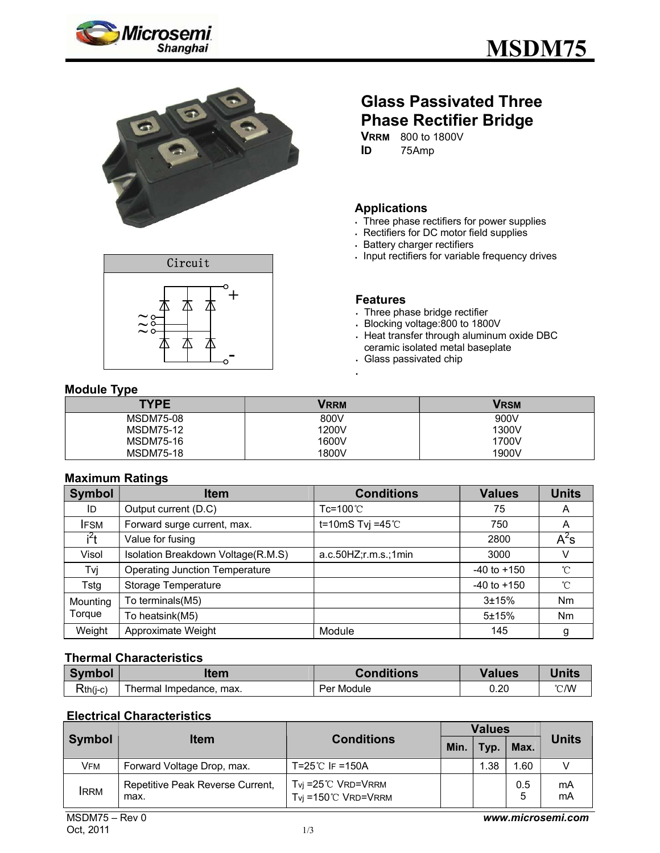





# **Glass Passivated Three Phase Rectifier Bridge**

**VRRM** 800 to 1800V **ID** 75Amp

### **Applications**

- Three phase rectifiers for power supplies
- Rectifiers for DC motor field supplies
- Battery charger rectifiers
- . Input rectifiers for variable frequency drives

#### **Features**

- Three phase bridge rectifier
- Blocking voltage:800 to 1800V
- Heat transfer through aluminum oxide DBC ceramic isolated metal baseplate
- Glass passivated chip

### **Module Type**

| . .<br><b>TYPE</b> | <b>VRRM</b> | <b>VRSM</b> |
|--------------------|-------------|-------------|
| <b>MSDM75-08</b>   | 800V        | 900V        |
| <b>MSDM75-12</b>   | 1200V       | 1300V       |
| <b>MSDM75-16</b>   | 1600V       | 1700V       |
| <b>MSDM75-18</b>   | 1800V       | 1900V       |

#### **Maximum Ratings**

| <b>Symbol</b>    | <b>Item</b>                           | <b>Conditions</b>      | <b>Values</b>   | <b>Units</b>   |
|------------------|---------------------------------------|------------------------|-----------------|----------------|
| ID               | Output current (D.C)                  | $Tc = 100^{\circ}$     | 75              | A              |
| <b>IFSM</b>      | Forward surge current, max.           | t=10mS Tvj =45 $°C$    | 750             | A              |
| i <sup>2</sup> t | Value for fusing                      |                        | 2800            | $A^2$ s        |
| Visol            | Isolation Breakdown Voltage(R.M.S)    | a.c.50HZ; r.m.s.; 1min | 3000            | v              |
| Tvj              | <b>Operating Junction Temperature</b> |                        | $-40$ to $+150$ | $^{\circ}C$    |
| Tstg             | Storage Temperature                   |                        | $-40$ to $+150$ | $^{\circ}$ C   |
| Mounting         | To terminals(M5)                      |                        | $3 + 15%$       | <b>Nm</b>      |
| Torque           | To heatsink(M5)                       |                        | $5 + 15%$       | N <sub>m</sub> |
| Weight           | Approximate Weight                    | Module                 | 145             | g              |

#### **Thermal Characteristics**

| <b>Symbol</b> | ltem                       | <b>Conditions</b> | Values | Units         |
|---------------|----------------------------|-------------------|--------|---------------|
| $Rth(i-c)$    | Thermal Impedance,<br>max. | Per Module        | 0.20   | $\degree$ C/W |

#### **Electrical Characteristics**

| Symbol                               | <b>Item</b>                              | <b>Conditions</b>                                              | <b>Values</b> |      |          |              |
|--------------------------------------|------------------------------------------|----------------------------------------------------------------|---------------|------|----------|--------------|
|                                      |                                          |                                                                | Min.          | Typ. | Max.     | <b>Units</b> |
| VFM                                  | Forward Voltage Drop, max.               | T=25 ℃ IF =150A                                                |               | 1.38 | 1.60     |              |
| <b>IRRM</b>                          | Repetitive Peak Reverse Current,<br>max. | $Tvj = 25^{\circ}$ VRD=VRRM<br>$Tv_i = 150^{\circ}$ C VRD=VRRM |               |      | 0.5<br>5 | mA<br>mA     |
| $MSDM75 - Rev0$<br>www.microsemi.com |                                          |                                                                |               |      |          |              |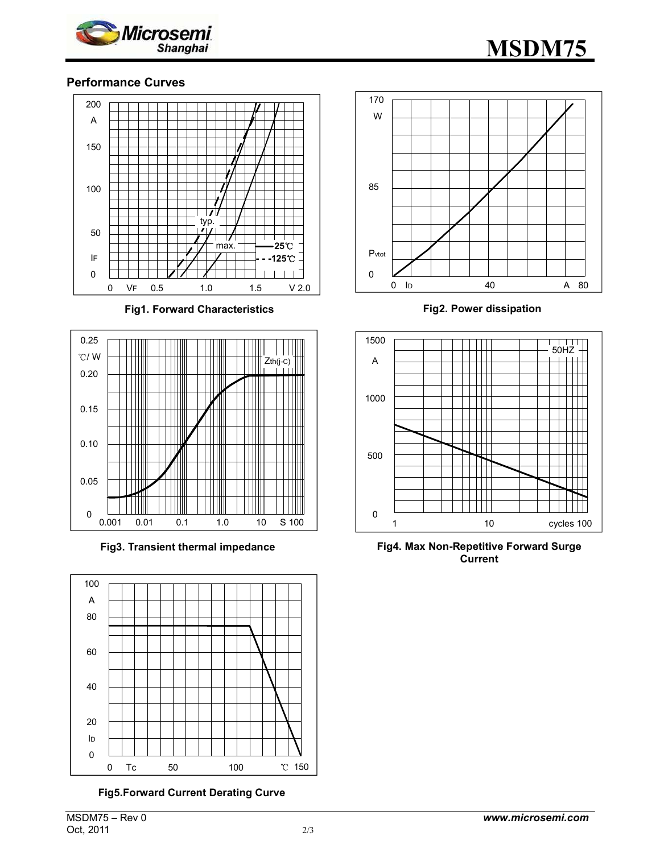



#### **Performance Curves**



**Fig1. Forward Characteristics** 



**Fig3. Transient thermal impedance** 



**Fig5.Forward Current Derating Curve** 



**Fig2. Power dissipation**



**Fig4. Max Non-Repetitive Forward Surge Current**